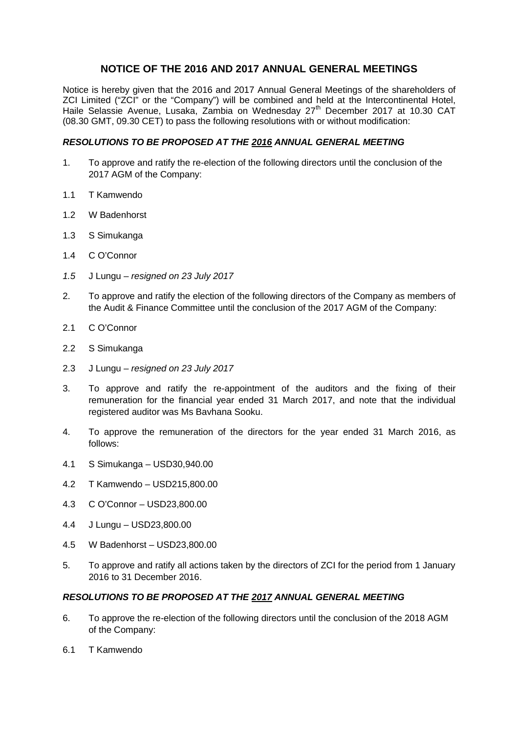# **NOTICE OF THE 2016 AND 2017 ANNUAL GENERAL MEETINGS**

Notice is hereby given that the 2016 and 2017 Annual General Meetings of the shareholders of ZCI Limited ("ZCI" or the "Company") will be combined and held at the Intercontinental Hotel, Haile Selassie Avenue, Lusaka, Zambia on Wednesday 27<sup>th</sup> December 2017 at 10.30 CAT (08.30 GMT, 09.30 CET) to pass the following resolutions with or without modification:

### *RESOLUTIONS TO BE PROPOSED AT THE 2016 ANNUAL GENERAL MEETING*

- 1. To approve and ratify the re-election of the following directors until the conclusion of the 2017 AGM of the Company:
- 1.1 T Kamwendo
- 1.2 W Badenhorst
- 1.3 S Simukanga
- 1.4 C O'Connor
- *1.5* J Lungu *resigned on 23 July 2017*
- 2. To approve and ratify the election of the following directors of the Company as members of the Audit & Finance Committee until the conclusion of the 2017 AGM of the Company:
- 2.1 C O'Connor
- 2.2 S Simukanga
- 2.3 J Lungu *– resigned on 23 July 2017*
- 3. To approve and ratify the re-appointment of the auditors and the fixing of their remuneration for the financial year ended 31 March 2017, and note that the individual registered auditor was Ms Bavhana Sooku.
- 4. To approve the remuneration of the directors for the year ended 31 March 2016, as follows:
- 4.1 S Simukanga USD30,940.00
- 4.2 T Kamwendo USD215,800.00
- 4.3 C O'Connor USD23,800.00
- 4.4 J Lungu USD23,800.00
- 4.5 W Badenhorst USD23,800.00
- 5. To approve and ratify all actions taken by the directors of ZCI for the period from 1 January 2016 to 31 December 2016.

# *RESOLUTIONS TO BE PROPOSED AT THE 2017 ANNUAL GENERAL MEETING*

- 6. To approve the re-election of the following directors until the conclusion of the 2018 AGM of the Company:
- 6.1 T Kamwendo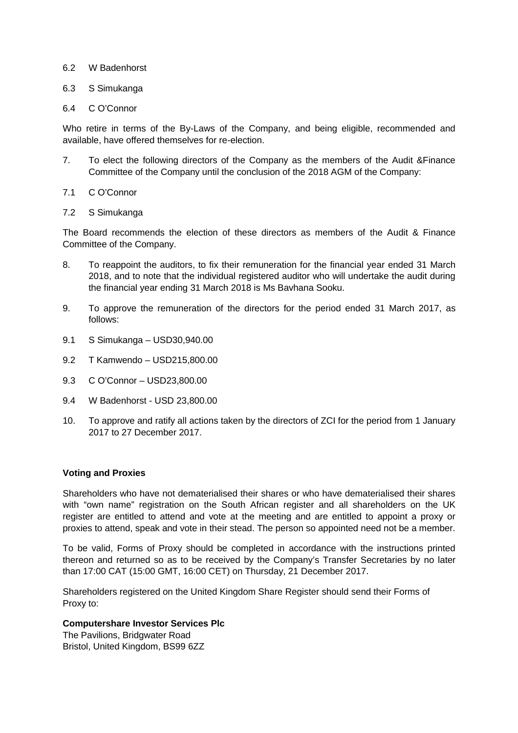#### 6.2 W Badenhorst

#### 6.3 S Simukanga

#### 6.4 C O'Connor

Who retire in terms of the By-Laws of the Company, and being eligible, recommended and available, have offered themselves for re-election.

- 7. To elect the following directors of the Company as the members of the Audit &Finance Committee of the Company until the conclusion of the 2018 AGM of the Company:
- 7.1 C O'Connor
- 7.2 S Simukanga

The Board recommends the election of these directors as members of the Audit & Finance Committee of the Company.

- 8. To reappoint the auditors, to fix their remuneration for the financial year ended 31 March 2018, and to note that the individual registered auditor who will undertake the audit during the financial year ending 31 March 2018 is Ms Bavhana Sooku.
- 9. To approve the remuneration of the directors for the period ended 31 March 2017, as follows:
- 9.1 S Simukanga USD30,940.00
- 9.2 T Kamwendo USD215,800.00
- 9.3 C O'Connor USD23,800.00
- 9.4 W Badenhorst USD 23,800.00
- 10. To approve and ratify all actions taken by the directors of ZCI for the period from 1 January 2017 to 27 December 2017.

#### **Voting and Proxies**

Shareholders who have not dematerialised their shares or who have dematerialised their shares with "own name" registration on the South African register and all shareholders on the UK register are entitled to attend and vote at the meeting and are entitled to appoint a proxy or proxies to attend, speak and vote in their stead. The person so appointed need not be a member.

To be valid, Forms of Proxy should be completed in accordance with the instructions printed thereon and returned so as to be received by the Company's Transfer Secretaries by no later than 17:00 CAT (15:00 GMT, 16:00 CET) on Thursday, 21 December 2017.

Shareholders registered on the United Kingdom Share Register should send their Forms of Proxy to:

## **Computershare Investor Services Plc**

The Pavilions, Bridgwater Road Bristol, United Kingdom, BS99 6ZZ